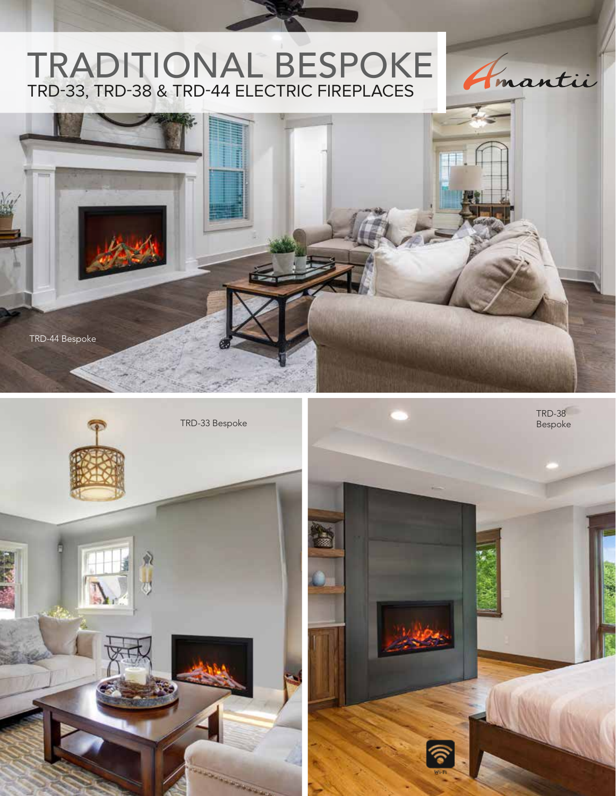# TRADITIONAL BESPOKE TRD-33, TRD-38 & TRD-44 ELECTRIC FIREPLACES